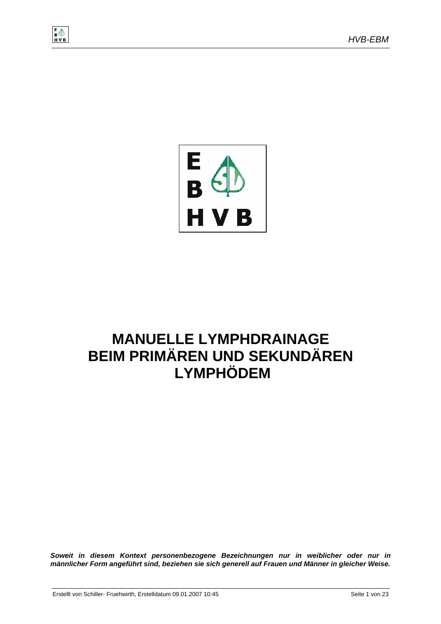



# **MANUELLE LYMPHDRAINAGE BEIM PRIMÄREN UND SEKUNDÄREN LYMPHÖDEM**

*Soweit in diesem Kontext personenbezogene Bezeichnungen nur in weiblicher oder nur in männlicher Form angeführt sind, beziehen sie sich generell auf Frauen und Männer in gleicher Weise.*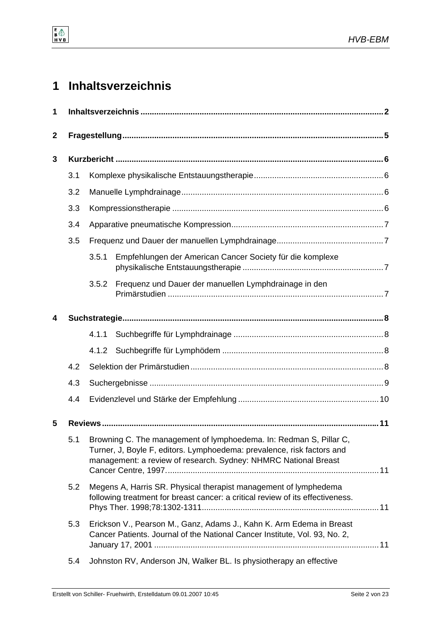# **1 Inhaltsverzeichnis**

| 1            |     |                                                                                                                                                                                                                 |                                                                                                                                                    |  |  |
|--------------|-----|-----------------------------------------------------------------------------------------------------------------------------------------------------------------------------------------------------------------|----------------------------------------------------------------------------------------------------------------------------------------------------|--|--|
| $\mathbf{2}$ |     |                                                                                                                                                                                                                 |                                                                                                                                                    |  |  |
| 3            |     |                                                                                                                                                                                                                 |                                                                                                                                                    |  |  |
|              | 3.1 |                                                                                                                                                                                                                 |                                                                                                                                                    |  |  |
|              | 3.2 |                                                                                                                                                                                                                 |                                                                                                                                                    |  |  |
|              | 3.3 |                                                                                                                                                                                                                 |                                                                                                                                                    |  |  |
|              | 3.4 |                                                                                                                                                                                                                 |                                                                                                                                                    |  |  |
|              | 3.5 |                                                                                                                                                                                                                 |                                                                                                                                                    |  |  |
|              |     | 3.5.1                                                                                                                                                                                                           | Empfehlungen der American Cancer Society für die komplexe                                                                                          |  |  |
|              |     | 3.5.2                                                                                                                                                                                                           | Frequenz und Dauer der manuellen Lymphdrainage in den                                                                                              |  |  |
| 4            |     |                                                                                                                                                                                                                 |                                                                                                                                                    |  |  |
|              |     | 4.1.1                                                                                                                                                                                                           |                                                                                                                                                    |  |  |
|              |     | 4.1.2                                                                                                                                                                                                           |                                                                                                                                                    |  |  |
|              | 4.2 |                                                                                                                                                                                                                 |                                                                                                                                                    |  |  |
|              | 4.3 |                                                                                                                                                                                                                 |                                                                                                                                                    |  |  |
|              | 4.4 |                                                                                                                                                                                                                 |                                                                                                                                                    |  |  |
| 5            |     |                                                                                                                                                                                                                 |                                                                                                                                                    |  |  |
|              | 5.1 | Browning C. The management of lymphoedema. In: Redman S, Pillar C,<br>Turner, J, Boyle F, editors. Lymphoedema: prevalence, risk factors and<br>management: a review of research. Sydney: NHMRC National Breast |                                                                                                                                                    |  |  |
|              | 5.2 | Megens A, Harris SR. Physical therapist management of lymphedema<br>following treatment for breast cancer: a critical review of its effectiveness.                                                              |                                                                                                                                                    |  |  |
|              | 5.3 |                                                                                                                                                                                                                 | Erickson V., Pearson M., Ganz, Adams J., Kahn K. Arm Edema in Breast<br>Cancer Patients. Journal of the National Cancer Institute, Vol. 93, No. 2, |  |  |
|              | 5.4 |                                                                                                                                                                                                                 | Johnston RV, Anderson JN, Walker BL. Is physiotherapy an effective                                                                                 |  |  |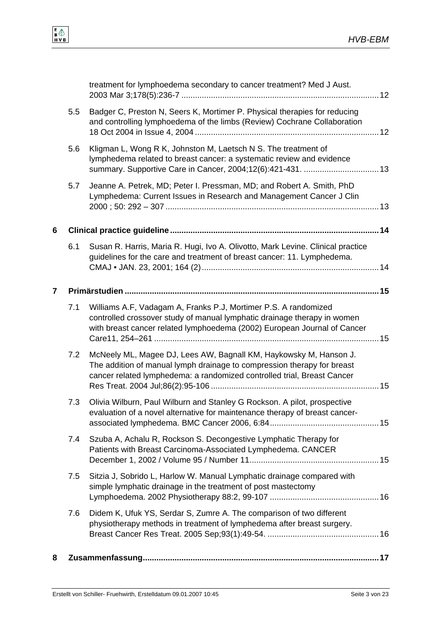|   |     | treatment for lymphoedema secondary to cancer treatment? Med J Aust.                                                                                                                                                    |  |
|---|-----|-------------------------------------------------------------------------------------------------------------------------------------------------------------------------------------------------------------------------|--|
|   | 5.5 | Badger C, Preston N, Seers K, Mortimer P. Physical therapies for reducing<br>and controlling lymphoedema of the limbs (Review) Cochrane Collaboration                                                                   |  |
|   | 5.6 | Kligman L, Wong R K, Johnston M, Laetsch N S. The treatment of<br>lymphedema related to breast cancer: a systematic review and evidence<br>summary. Supportive Care in Cancer, 2004;12(6):421-431.  13                  |  |
|   | 5.7 | Jeanne A. Petrek, MD; Peter I. Pressman, MD; and Robert A. Smith, PhD<br>Lymphedema: Current Issues in Research and Management Cancer J Clin                                                                            |  |
| 6 |     |                                                                                                                                                                                                                         |  |
|   | 6.1 | Susan R. Harris, Maria R. Hugi, Ivo A. Olivotto, Mark Levine. Clinical practice<br>guidelines for the care and treatment of breast cancer: 11. Lymphedema.                                                              |  |
| 7 |     |                                                                                                                                                                                                                         |  |
|   | 7.1 | Williams A.F, Vadagam A, Franks P.J, Mortimer P.S. A randomized<br>controlled crossover study of manual lymphatic drainage therapy in women<br>with breast cancer related lymphoedema (2002) European Journal of Cancer |  |
|   | 7.2 | McNeely ML, Magee DJ, Lees AW, Bagnall KM, Haykowsky M, Hanson J.<br>The addition of manual lymph drainage to compression therapy for breast<br>cancer related lymphedema: a randomized controlled trial, Breast Cancer |  |
|   | 7.3 | Olivia Wilburn, Paul Wilburn and Stanley G Rockson. A pilot, prospective<br>evaluation of a novel alternative for maintenance therapy of breast cancer-                                                                 |  |
|   | 7.4 | Szuba A, Achalu R, Rockson S. Decongestive Lymphatic Therapy for<br>Patients with Breast Carcinoma-Associated Lymphedema. CANCER                                                                                        |  |
|   | 7.5 | Sitzia J, Sobrido L, Harlow W. Manual Lymphatic drainage compared with<br>simple lymphatic drainage in the treatment of post mastectomy                                                                                 |  |
|   | 7.6 | Didem K, Ufuk YS, Serdar S, Zumre A. The comparison of two different<br>physiotherapy methods in treatment of lymphedema after breast surgery.                                                                          |  |
| 8 |     |                                                                                                                                                                                                                         |  |
|   |     |                                                                                                                                                                                                                         |  |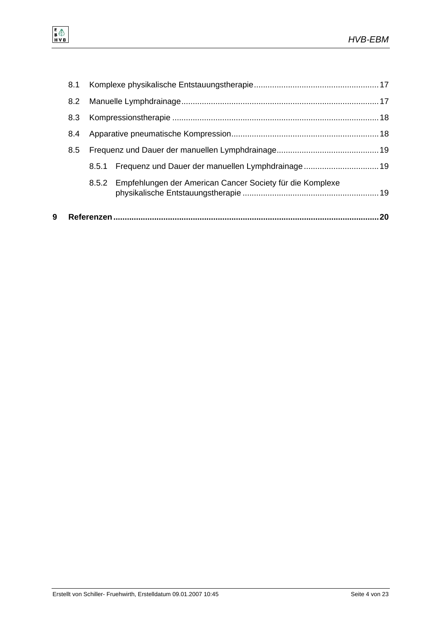| 9 |     |       |                                                                 | .20 |
|---|-----|-------|-----------------------------------------------------------------|-----|
|   |     |       | 8.5.2 Empfehlungen der American Cancer Society für die Komplexe |     |
|   |     | 8.5.1 | Frequenz und Dauer der manuellen Lymphdrainage 19               |     |
|   | 8.5 |       |                                                                 |     |
|   | 8.4 |       |                                                                 |     |
|   | 8.3 |       |                                                                 |     |
|   | 8.2 |       |                                                                 |     |
|   | 8.1 |       |                                                                 |     |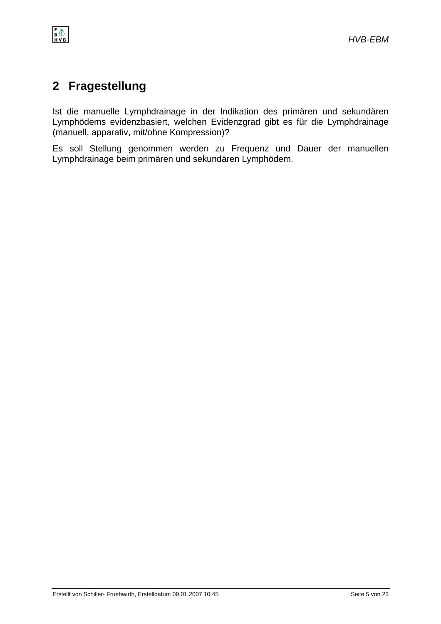

# **2 Fragestellung**

 $\begin{array}{c}\nE \\
B \bigoplus \\
H \vee B\n\end{array}$ 

Ist die manuelle Lymphdrainage in der Indikation des primären und sekundären Lymphödems evidenzbasiert, welchen Evidenzgrad gibt es für die Lymphdrainage (manuell, apparativ, mit/ohne Kompression)?

Es soll Stellung genommen werden zu Frequenz und Dauer der manuellen Lymphdrainage beim primären und sekundären Lymphödem.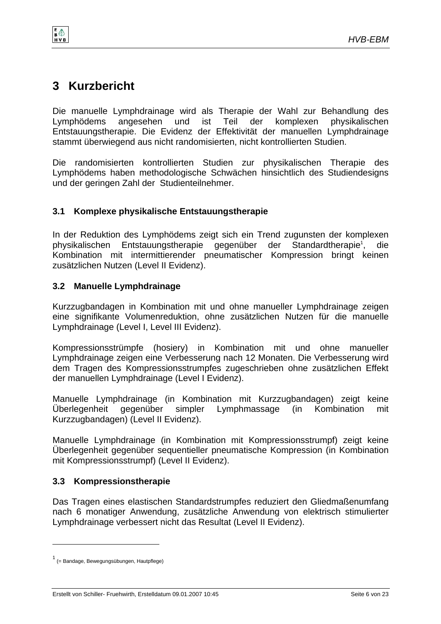

# **3 Kurzbericht**

 $\frac{1}{8}$ 

Die manuelle Lymphdrainage wird als Therapie der Wahl zur Behandlung des Lymphödems angesehen und ist Teil der komplexen physikalischen Entstauungstherapie. Die Evidenz der Effektivität der manuellen Lymphdrainage stammt überwiegend aus nicht randomisierten, nicht kontrollierten Studien.

Die randomisierten kontrollierten Studien zur physikalischen Therapie des Lymphödems haben methodologische Schwächen hinsichtlich des Studiendesigns und der geringen Zahl der Studienteilnehmer.

## **3.1 Komplexe physikalische Entstauungstherapie**

In der Reduktion des Lymphödems zeigt sich ein Trend zugunsten der komplexen physikalischen Entstauungstherapie gegenüber der Standardtherapie<sup>1</sup>. , die Kombination mit intermittierender pneumatischer Kompression bringt keinen zusätzlichen Nutzen (Level II Evidenz).

## **3.2 Manuelle Lymphdrainage**

Kurzzugbandagen in Kombination mit und ohne manueller Lymphdrainage zeigen eine signifikante Volumenreduktion, ohne zusätzlichen Nutzen für die manuelle Lymphdrainage (Level I, Level III Evidenz).

Kompressionsstrümpfe (hosiery) in Kombination mit und ohne manueller Lymphdrainage zeigen eine Verbesserung nach 12 Monaten. Die Verbesserung wird dem Tragen des Kompressionsstrumpfes zugeschrieben ohne zusätzlichen Effekt der manuellen Lymphdrainage (Level I Evidenz).

Manuelle Lymphdrainage (in Kombination mit Kurzzugbandagen) zeigt keine Überlegenheit gegenüber simpler Lymphmassage (in Kombination mit Kurzzugbandagen) (Level II Evidenz).

Manuelle Lymphdrainage (in Kombination mit Kompressionsstrumpf) zeigt keine Überlegenheit gegenüber sequentieller pneumatische Kompression (in Kombination mit Kompressionsstrumpf) (Level II Evidenz).

## **3.3 Kompressionstherapie**

Das Tragen eines elastischen Standardstrumpfes reduziert den Gliedmaßenumfang nach 6 monatiger Anwendung, zusätzliche Anwendung von elektrisch stimulierter Lymphdrainage verbessert nicht das Resultat (Level II Evidenz).

l

<sup>1</sup> (= Bandage, Bewegungsübungen, Hautpflege)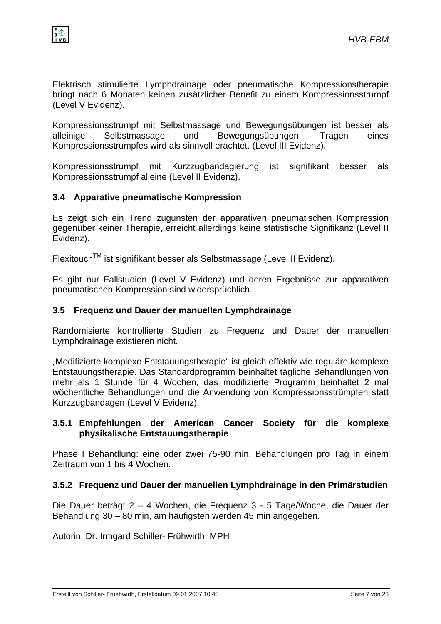

Elektrisch stimulierte Lymphdrainage oder pneumatische Kompressionstherapie bringt nach 6 Monaten keinen zusätzlicher Benefit zu einem Kompressionsstrumpf (Level V Evidenz).

Kompressionsstrumpf mit Selbstmassage und Bewegungsübungen ist besser als alleinige Selbstmassage und Bewegungsübungen, Tragen eines Kompressionsstrumpfes wird als sinnvoll erachtet. (Level III Evidenz).

Kompressionsstrumpf mit Kurzzugbandagierung ist signifikant besser als Kompressionsstrumpf alleine (Level II Evidenz).

#### **3.4 Apparative pneumatische Kompression**

Es zeigt sich ein Trend zugunsten der apparativen pneumatischen Kompression gegenüber keiner Therapie, erreicht allerdings keine statistische Signifikanz (Level II Evidenz).

FlexitouchTM ist signifikant besser als Selbstmassage (Level II Evidenz).

Es gibt nur Fallstudien (Level V Evidenz) und deren Ergebnisse zur apparativen pneumatischen Kompression sind widersprüchlich.

#### **3.5 Frequenz und Dauer der manuellen Lymphdrainage**

Randomisierte kontrollierte Studien zu Frequenz und Dauer der manuellen Lymphdrainage existieren nicht.

"Modifizierte komplexe Entstauungstherapie" ist gleich effektiv wie reguläre komplexe Entstauungstherapie. Das Standardprogramm beinhaltet tägliche Behandlungen von mehr als 1 Stunde für 4 Wochen, das modifizierte Programm beinhaltet 2 mal wöchentliche Behandlungen und die Anwendung von Kompressionsstrümpfen statt Kurzzugbandagen (Level V Evidenz).

#### **3.5.1 Empfehlungen der American Cancer Society für die komplexe physikalische Entstauungstherapie**

Phase I Behandlung: eine oder zwei 75-90 min. Behandlungen pro Tag in einem Zeitraum von 1 bis 4 Wochen.

#### **3.5.2 Frequenz und Dauer der manuellen Lymphdrainage in den Primärstudien**

Die Dauer beträgt 2 – 4 Wochen, die Frequenz 3 - 5 Tage/Woche, die Dauer der Behandlung 30 – 80 min, am häufigsten werden 45 min angegeben.

Autorin: Dr. Irmgard Schiller- Frühwirth, MPH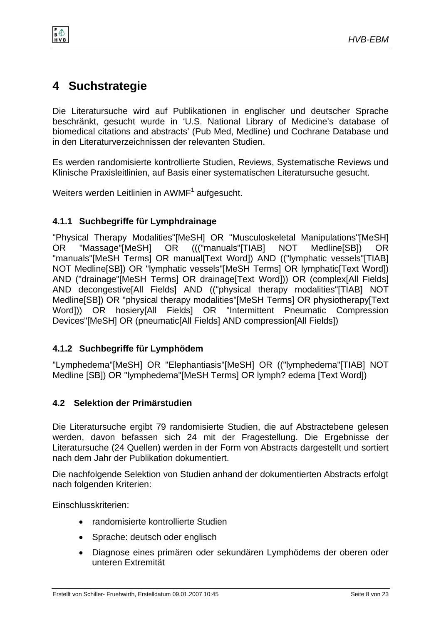

# **4 Suchstrategie**

e 4

Die Literatursuche wird auf Publikationen in englischer und deutscher Sprache beschränkt, gesucht wurde in 'U.S. National Library of Medicine's database of biomedical citations and abstracts' (Pub Med, Medline) und Cochrane Database und in den Literaturverzeichnissen der relevanten Studien.

Es werden randomisierte kontrollierte Studien, Reviews, Systematische Reviews und Klinische Praxisleitlinien, auf Basis einer systematischen Literatursuche gesucht.

Weiters werden Leitlinien in  $\mathsf{AWMF}^1$  aufgesucht.

### **4.1.1 Suchbegriffe für Lymphdrainage**

"Physical Therapy Modalities"[MeSH] OR "Musculoskeletal Manipulations"[MeSH] OR "Massage"[MeSH] OR ((("manuals"[TIAB] NOT Medline[SB]) OR "manuals"[MeSH Terms] OR manual[Text Word]) AND (("lymphatic vessels"[TIAB] NOT Medline[SB]) OR "lymphatic vessels"[MeSH Terms] OR lymphatic[Text Word]) AND ("drainage"[MeSH Terms] OR drainage[Text Word])) OR (complex[All Fields] AND decongestive[All Fields] AND (("physical therapy modalities"[TIAB] NOT Medline[SB]) OR "physical therapy modalities"[MeSH Terms] OR physiotherapy[Text Word])) OR hosiery[All Fields] OR "Intermittent Pneumatic Compression Devices"[MeSH] OR (pneumatic[All Fields] AND compression[All Fields])

## **4.1.2 Suchbegriffe für Lymphödem**

"Lymphedema"[MeSH] OR "Elephantiasis"[MeSH] OR (("lymphedema"[TIAB] NOT Medline [SB]) OR "lymphedema"[MeSH Terms] OR lymph? edema [Text Word])

#### **4.2 Selektion der Primärstudien**

Die Literatursuche ergibt 79 randomisierte Studien, die auf Abstractebene gelesen werden, davon befassen sich 24 mit der Fragestellung. Die Ergebnisse der Literatursuche (24 Quellen) werden in der Form von Abstracts dargestellt und sortiert nach dem Jahr der Publikation dokumentiert.

Die nachfolgende Selektion von Studien anhand der dokumentierten Abstracts erfolgt nach folgenden Kriterien:

Einschlusskriterien:

- randomisierte kontrollierte Studien
- Sprache: deutsch oder englisch
- Diagnose eines primären oder sekundären Lymphödems der oberen oder unteren Extremität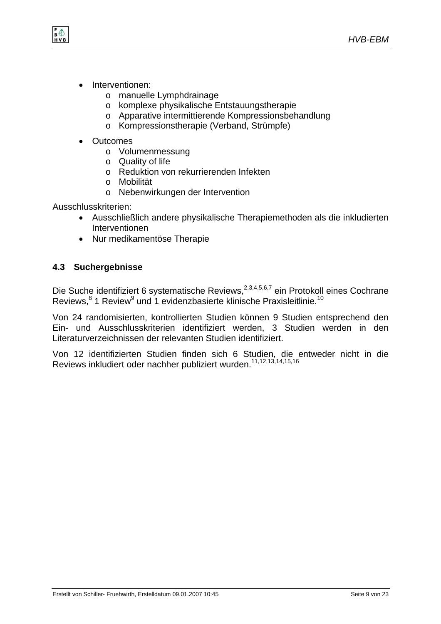

- Interventionen:
	- o manuelle Lymphdrainage
	- o komplexe physikalische Entstauungstherapie
	- o Apparative intermittierende Kompressionsbehandlung
	- o Kompressionstherapie (Verband, Strümpfe)
- **Outcomes** 
	- o Volumenmessung
	- o Quality of life
	- o Reduktion von rekurrierenden Infekten
	- o Mobilität
	- o Nebenwirkungen der Intervention

Ausschlusskriterien:

- Ausschließlich andere physikalische Therapiemethoden als die inkludierten Interventionen
- Nur medikamentöse Therapie

#### **4.3 Suchergebnisse**

Die Suche identifiziert 6 systematische Reviews,<sup>2,3,4,5,6,7</sup> ein Protokoll eines Cochrane Reviews,<sup>8</sup> 1 Review<sup>9</sup> und 1 evidenzbasierte klinische Praxisleitlinie.<sup>10</sup>

Von 24 randomisierten, kontrollierten Studien können 9 Studien entsprechend den Ein- und Ausschlusskriterien identifiziert werden, 3 Studien werden in den Literaturverzeichnissen der relevanten Studien identifiziert.

Von 12 identifizierten Studien finden sich 6 Studien, die entweder nicht in die Reviews inkludiert oder nachher publiziert wurden.<sup>11,12,13,14,15,16</sup>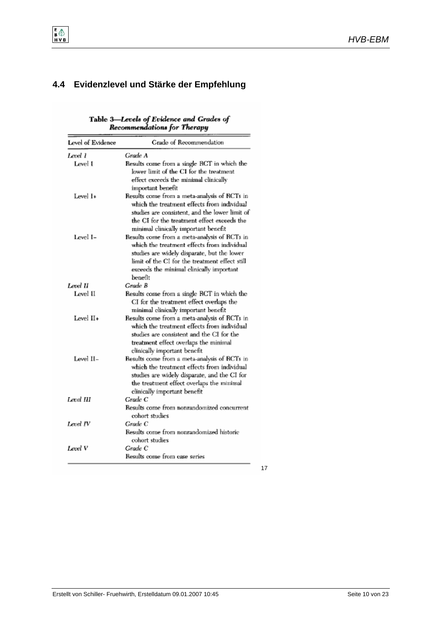## **4.4 Evidenzlevel und Stärke der Empfehlung**

 $\frac{E}{B}$   $\bigoplus$ <br>H V B

# Table 3—Levels of Evidence and Grades of<br>Recommendations for Therapy

| Level of Evidence | Grade of Recommendation                                                                                                                                                                                                                                   |
|-------------------|-----------------------------------------------------------------------------------------------------------------------------------------------------------------------------------------------------------------------------------------------------------|
| Level 1           | Grade A                                                                                                                                                                                                                                                   |
| Level I           | Results come from a single RCT in which the<br>lower limit of the CI for the treatment<br>effect exceeds the minimal clinically                                                                                                                           |
| Level I+          | important benefit<br>Results come from a meta-analysis of RCTs in<br>which the treatment effects from individual<br>studies are consistent, and the lower limit of<br>the CI for the treatment effect exceeds the<br>minimal clinically important benefit |
| Level I–          | Results come from a meta-analysis of RCTs in<br>which the treatment effects from individual<br>studies are widely disparate, but the lower<br>limit of the CI for the treatment effect still<br>exceeds the minimal clinically important<br>benefit       |
| Level II          | Grade B                                                                                                                                                                                                                                                   |
| Level II          | Results come from a single RCT in which the<br>CI for the treatment effect overlaps the<br>minimal clinically important benefit                                                                                                                           |
| Level II+         | Results come from a meta-analysis of RCTs in<br>which the treatment effects from individual<br>studies are consistent and the CI for the<br>treatment effect overlaps the minimal<br>clinically important benefit                                         |
| Level II-         | Results come from a meta-analysis of RCTs in<br>which the treatment effects from individual<br>studies are widely disparate, and the CI for<br>the treatment effect overlaps the minimal<br>clinically important benefit                                  |
| Level III         | Grade C<br>Results come from nonrandomized concurrent                                                                                                                                                                                                     |
|                   | cohort studies                                                                                                                                                                                                                                            |
| Level IV          | Grade C<br>Results come from nonrandomized historic<br>cohort studies                                                                                                                                                                                     |
| Level V           | Grade C<br>Results come from case series                                                                                                                                                                                                                  |

17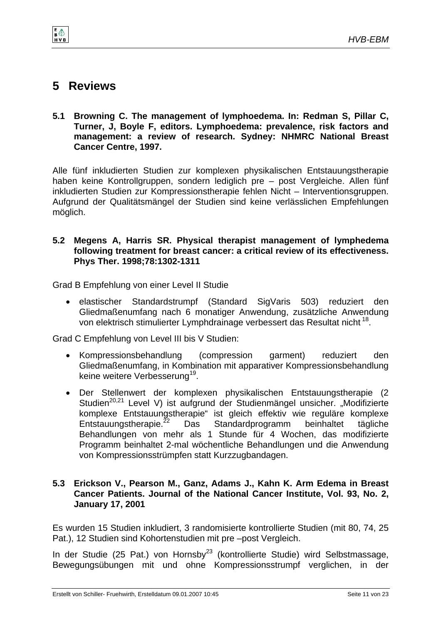

# **5 Reviews**

 $\mathbf{B}^{\mathsf{E}}$ 

**5.1 Browning C. The management of lymphoedema. In: Redman S, Pillar C, Turner, J, Boyle F, editors. Lymphoedema: prevalence, risk factors and management: a review of research. Sydney: NHMRC National Breast Cancer Centre, 1997.** 

Alle fünf inkludierten Studien zur komplexen physikalischen Entstauungstherapie haben keine Kontrollgruppen, sondern lediglich pre – post Vergleiche. Allen fünf inkludierten Studien zur Kompressionstherapie fehlen Nicht – Interventionsgruppen. Aufgrund der Qualitätsmängel der Studien sind keine verlässlichen Empfehlungen möglich.

#### **5.2 Megens A, Harris SR. Physical therapist management of lymphedema following treatment for breast cancer: a critical review of its effectiveness. Phys Ther. 1998;78:1302-1311**

Grad B Empfehlung von einer Level II Studie

• elastischer Standardstrumpf (Standard SigVaris 503) reduziert den Gliedmaßenumfang nach 6 monatiger Anwendung, zusätzliche Anwendung von elektrisch stimulierter Lymphdrainage verbessert das Resultat nicht 18.

Grad C Empfehlung von Level III bis V Studien:

- Kompressionsbehandlung (compression garment) reduziert den Gliedmaßenumfang, in Kombination mit apparativer Kompressionsbehandlung keine weitere Verbesserung<sup>19</sup>.
- Der Stellenwert der komplexen physikalischen Entstauungstherapie (2 Studien<sup>20,21</sup> Level V) ist aufgrund der Studienmängel unsicher. "Modifizierte komplexe Entstauungstherapie" ist gleich effektiv wie reguläre komplexe Entstauungstherapie.<sup>22</sup> Das Standardprogramm beinhaltet tägliche Behandlungen von mehr als 1 Stunde für 4 Wochen, das modifizierte Programm beinhaltet 2-mal wöchentliche Behandlungen und die Anwendung von Kompressionsstrümpfen statt Kurzzugbandagen.

#### **5.3 Erickson V., Pearson M., Ganz, Adams J., Kahn K. Arm Edema in Breast Cancer Patients. Journal of the National Cancer Institute, Vol. 93, No. 2, January 17, 2001**

Es wurden 15 Studien inkludiert, 3 randomisierte kontrollierte Studien (mit 80, 74, 25 Pat.), 12 Studien sind Kohortenstudien mit pre –post Vergleich.

In der Studie (25 Pat.) von Hornsby<sup>23</sup> (kontrollierte Studie) wird Selbstmassage, Bewegungsübungen mit und ohne Kompressionsstrumpf verglichen, in der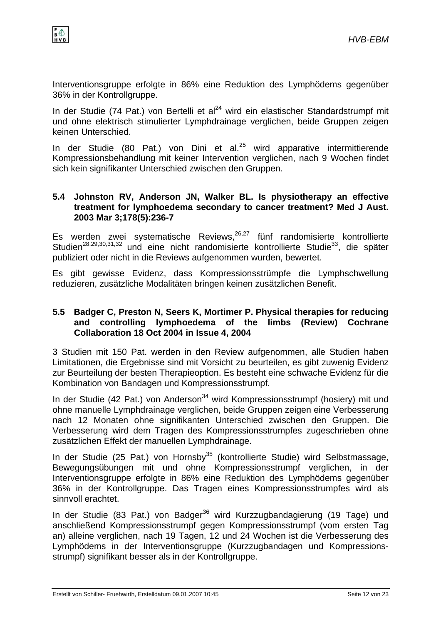

Interventionsgruppe erfolgte in 86% eine Reduktion des Lymphödems gegenüber 36% in der Kontrollgruppe.

In der Studie (74 Pat.) von Bertelli et al<sup>24</sup> wird ein elastischer Standardstrumpf mit und ohne elektrisch stimulierter Lymphdrainage verglichen, beide Gruppen zeigen keinen Unterschied.

In der Studie (80 Pat.) von Dini et al.<sup>25</sup> wird apparative intermittierende Kompressionsbehandlung mit keiner Intervention verglichen, nach 9 Wochen findet sich kein signifikanter Unterschied zwischen den Gruppen.

#### **5.4 Johnston RV, Anderson JN, Walker BL. Is physiotherapy an effective treatment for lymphoedema secondary to cancer treatment? Med J Aust. 2003 Mar 3;178(5):236-7**

Es werden zwei systematische Reviews,  $26,27$  fünf randomisierte kontrollierte Studien28,29,30,31,32 und eine nicht randomisierte kontrollierte Studie33, die später publiziert oder nicht in die Reviews aufgenommen wurden, bewertet.

Es gibt gewisse Evidenz, dass Kompressionsstrümpfe die Lymphschwellung reduzieren, zusätzliche Modalitäten bringen keinen zusätzlichen Benefit.

#### **5.5 Badger C, Preston N, Seers K, Mortimer P. Physical therapies for reducing and controlling lymphoedema of the limbs (Review) Cochrane Collaboration 18 Oct 2004 in Issue 4, 2004**

3 Studien mit 150 Pat. werden in den Review aufgenommen, alle Studien haben Limitationen, die Ergebnisse sind mit Vorsicht zu beurteilen, es gibt zuwenig Evidenz zur Beurteilung der besten Therapieoption. Es besteht eine schwache Evidenz für die Kombination von Bandagen und Kompressionsstrumpf.

In der Studie (42 Pat.) von Anderson<sup>34</sup> wird Kompressionsstrumpf (hosiery) mit und ohne manuelle Lymphdrainage verglichen, beide Gruppen zeigen eine Verbesserung nach 12 Monaten ohne signifikanten Unterschied zwischen den Gruppen. Die Verbesserung wird dem Tragen des Kompressionsstrumpfes zugeschrieben ohne zusätzlichen Effekt der manuellen Lymphdrainage.

In der Studie (25 Pat.) von Hornsby<sup>35</sup> (kontrollierte Studie) wird Selbstmassage, Bewegungsübungen mit und ohne Kompressionsstrumpf verglichen, in der Interventionsgruppe erfolgte in 86% eine Reduktion des Lymphödems gegenüber 36% in der Kontrollgruppe. Das Tragen eines Kompressionsstrumpfes wird als sinnvoll erachtet.

In der Studie (83 Pat.) von Badger<sup>36</sup> wird Kurzzugbandagierung (19 Tage) und anschließend Kompressionsstrumpf gegen Kompressionsstrumpf (vom ersten Tag an) alleine verglichen, nach 19 Tagen, 12 und 24 Wochen ist die Verbesserung des Lymphödems in der Interventionsgruppe (Kurzzugbandagen und Kompressionsstrumpf) signifikant besser als in der Kontrollgruppe.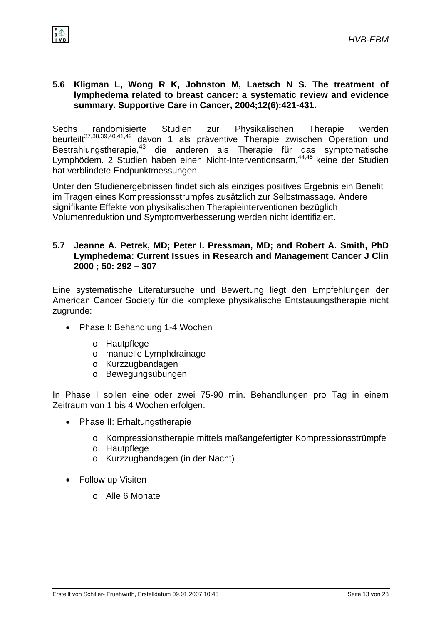#### **5.6 Kligman L, Wong R K, Johnston M, Laetsch N S. The treatment of lymphedema related to breast cancer: a systematic review and evidence summary. Supportive Care in Cancer, 2004;12(6):421-431.**

Sechs randomisierte Studien zur Physikalischen Therapie werden beurteilt<sup>37,38,39,40,41,42</sup> davon 1 als präventive Therapie zwischen Operation und Bestrahlungstherapie,<sup>43</sup> die anderen als Therapie für das symptomatische Lymphödem. 2 Studien haben einen Nicht-Interventionsarm, 44,45 keine der Studien hat verblindete Endpunktmessungen.

Unter den Studienergebnissen findet sich als einziges positives Ergebnis ein Benefit im Tragen eines Kompressionsstrumpfes zusätzlich zur Selbstmassage. Andere signifikante Effekte von physikalischen Therapieinterventionen bezüglich Volumenreduktion und Symptomverbesserung werden nicht identifiziert.

#### **5.7 Jeanne A. Petrek, MD; Peter I. Pressman, MD; and Robert A. Smith, PhD Lymphedema: Current Issues in Research and Management Cancer J Clin 2000 ; 50: 292 – 307**

Eine systematische Literatursuche und Bewertung liegt den Empfehlungen der American Cancer Society für die komplexe physikalische Entstauungstherapie nicht zugrunde:

- Phase I: Behandlung 1-4 Wochen
	- o Hautpflege

 $\frac{1}{8}$ 

- o manuelle Lymphdrainage
- o Kurzzugbandagen
- o Bewegungsübungen

In Phase I sollen eine oder zwei 75-90 min. Behandlungen pro Tag in einem Zeitraum von 1 bis 4 Wochen erfolgen.

- Phase II: Erhaltungstherapie
	- o Kompressionstherapie mittels maßangefertigter Kompressionsstrümpfe
	- o Hautpflege
	- o Kurzzugbandagen (in der Nacht)
- Follow up Visiten
	- o Alle 6 Monate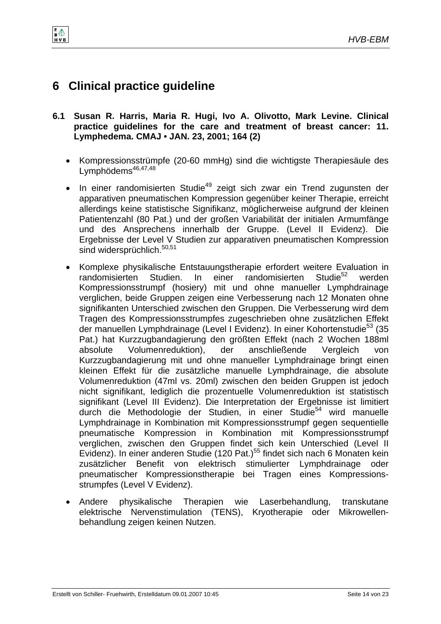$\mathbf{B}^{\mathbf{E}}$ HVB

- **6.1 Susan R. Harris, Maria R. Hugi, Ivo A. Olivotto, Mark Levine. Clinical practice guidelines for the care and treatment of breast cancer: 11. Lymphedema. CMAJ • JAN. 23, 2001; 164 (2)** 
	- Kompressionsstrümpfe (20-60 mmHg) sind die wichtigste Therapiesäule des Lymphödems<sup>46,47,48</sup>
	- In einer randomisierten Studie<sup>49</sup> zeigt sich zwar ein Trend zugunsten der apparativen pneumatischen Kompression gegenüber keiner Therapie, erreicht allerdings keine statistische Signifikanz, möglicherweise aufgrund der kleinen Patientenzahl (80 Pat.) und der großen Variabilität der initialen Armumfänge und des Ansprechens innerhalb der Gruppe. (Level II Evidenz). Die Ergebnisse der Level V Studien zur apparativen pneumatischen Kompression sind widersprüchlich.<sup>50,51</sup>
	- Komplexe physikalische Entstauungstherapie erfordert weitere Evaluation in randomisierten Studien. In einer randomisierten Studie<sup>52</sup> werden Kompressionsstrumpf (hosiery) mit und ohne manueller Lymphdrainage verglichen, beide Gruppen zeigen eine Verbesserung nach 12 Monaten ohne signifikanten Unterschied zwischen den Gruppen. Die Verbesserung wird dem Tragen des Kompressionsstrumpfes zugeschrieben ohne zusätzlichen Effekt der manuellen Lymphdrainage (Level I Evidenz). In einer Kohortenstudie<sup>53</sup> (35 Pat.) hat Kurzzugbandagierung den größten Effekt (nach 2 Wochen 188ml absolute Volumenreduktion), der anschließende Vergleich von Kurzzugbandagierung mit und ohne manueller Lymphdrainage bringt einen kleinen Effekt für die zusätzliche manuelle Lymphdrainage, die absolute Volumenreduktion (47ml vs. 20ml) zwischen den beiden Gruppen ist jedoch nicht signifikant, lediglich die prozentuelle Volumenreduktion ist statistisch signifikant (Level III Evidenz). Die Interpretation der Ergebnisse ist limitiert durch die Methodologie der Studien, in einer Studie<sup>54</sup> wird manuelle Lymphdrainage in Kombination mit Kompressionsstrumpf gegen sequentielle pneumatische Kompression in Kombination mit Kompressionsstrumpf verglichen, zwischen den Gruppen findet sich kein Unterschied (Level II Evidenz). In einer anderen Studie (120 Pat.)<sup>55</sup> findet sich nach 6 Monaten kein zusätzlicher Benefit von elektrisch stimulierter Lymphdrainage oder pneumatischer Kompressionstherapie bei Tragen eines Kompressionsstrumpfes (Level V Evidenz).
	- Andere physikalische Therapien wie Laserbehandlung, transkutane elektrische Nervenstimulation (TENS), Kryotherapie oder Mikrowellenbehandlung zeigen keinen Nutzen.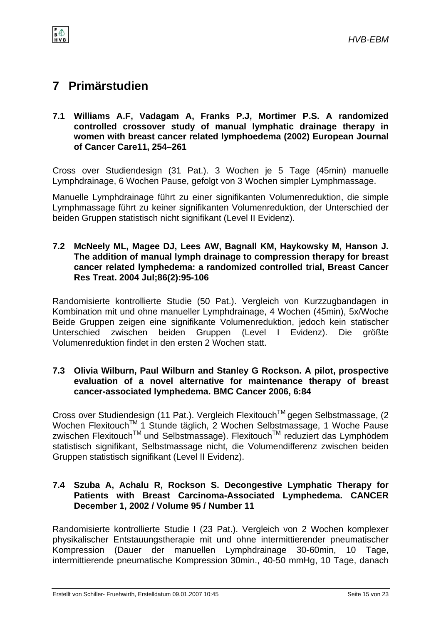*HVB-EBM* 

# **7 Primärstudien**

 $\frac{1}{8}$ 

**7.1 Williams A.F, Vadagam A, Franks P.J, Mortimer P.S. A randomized controlled crossover study of manual lymphatic drainage therapy in women with breast cancer related lymphoedema (2002) European Journal of Cancer Care11, 254–261** 

Cross over Studiendesign (31 Pat.). 3 Wochen je 5 Tage (45min) manuelle Lymphdrainage, 6 Wochen Pause, gefolgt von 3 Wochen simpler Lymphmassage.

Manuelle Lymphdrainage führt zu einer signifikanten Volumenreduktion, die simple Lymphmassage führt zu keiner signifikanten Volumenreduktion, der Unterschied der beiden Gruppen statistisch nicht signifikant (Level II Evidenz).

#### **7.2 McNeely ML, Magee DJ, Lees AW, Bagnall KM, Haykowsky M, Hanson J. The addition of manual lymph drainage to compression therapy for breast cancer related lymphedema: a randomized controlled trial, Breast Cancer Res Treat. 2004 Jul;86(2):95-106**

Randomisierte kontrollierte Studie (50 Pat.). Vergleich von Kurzzugbandagen in Kombination mit und ohne manueller Lymphdrainage, 4 Wochen (45min), 5x/Woche Beide Gruppen zeigen eine signifikante Volumenreduktion, jedoch kein statischer Unterschied zwischen beiden Gruppen (Level I Evidenz). Die größte Volumenreduktion findet in den ersten 2 Wochen statt.

#### **7.3 Olivia Wilburn, Paul Wilburn and Stanley G Rockson. A pilot, prospective evaluation of a novel alternative for maintenance therapy of breast cancer-associated lymphedema. BMC Cancer 2006, 6:84**

Cross over Studiendesign (11 Pat.). Vergleich Flexitouch™ gegen Selbstmassage, (2 Wochen Flexitouch™ 1 Stunde täglich, 2 Wochen Selbstmassage, 1 Woche Pause zwischen Flexitouch™ und Selbstmassage). Flexitouch™ reduziert das Lymphödem statistisch signifikant, Selbstmassage nicht, die Volumendifferenz zwischen beiden Gruppen statistisch signifikant (Level II Evidenz).

### **7.4 Szuba A, Achalu R, Rockson S. Decongestive Lymphatic Therapy for Patients with Breast Carcinoma-Associated Lymphedema. CANCER December 1, 2002 / Volume 95 / Number 11**

Randomisierte kontrollierte Studie I (23 Pat.). Vergleich von 2 Wochen komplexer physikalischer Entstauungstherapie mit und ohne intermittierender pneumatischer Kompression (Dauer der manuellen Lymphdrainage 30-60min, 10 Tage, intermittierende pneumatische Kompression 30min., 40-50 mmHg, 10 Tage, danach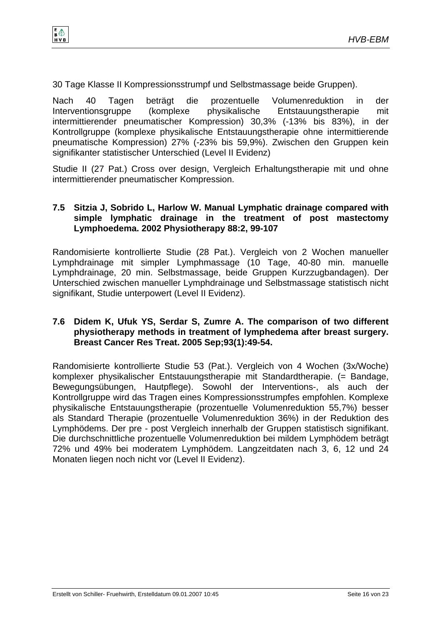

30 Tage Klasse II Kompressionsstrumpf und Selbstmassage beide Gruppen).

Nach 40 Tagen beträgt die prozentuelle Volumenreduktion in der Interventionsgruppe (komplexe physikalische Entstauungstherapie mit intermittierender pneumatischer Kompression) 30,3% (-13% bis 83%), in der Kontrollgruppe (komplexe physikalische Entstauungstherapie ohne intermittierende pneumatische Kompression) 27% (-23% bis 59,9%). Zwischen den Gruppen kein signifikanter statistischer Unterschied (Level II Evidenz)

Studie II (27 Pat.) Cross over design, Vergleich Erhaltungstherapie mit und ohne intermittierender pneumatischer Kompression.

#### **7.5 Sitzia J, Sobrido L, Harlow W. Manual Lymphatic drainage compared with simple lymphatic drainage in the treatment of post mastectomy Lymphoedema. 2002 Physiotherapy 88:2, 99-107**

Randomisierte kontrollierte Studie (28 Pat.). Vergleich von 2 Wochen manueller Lymphdrainage mit simpler Lymphmassage (10 Tage, 40-80 min. manuelle Lymphdrainage, 20 min. Selbstmassage, beide Gruppen Kurzzugbandagen). Der Unterschied zwischen manueller Lymphdrainage und Selbstmassage statistisch nicht signifikant, Studie unterpowert (Level II Evidenz).

#### **7.6 Didem K, Ufuk YS, Serdar S, Zumre A. The comparison of two different physiotherapy methods in treatment of lymphedema after breast surgery. Breast Cancer Res Treat. 2005 Sep;93(1):49-54.**

Randomisierte kontrollierte Studie 53 (Pat.). Vergleich von 4 Wochen (3x/Woche) komplexer physikalischer Entstauungstherapie mit Standardtherapie. (= Bandage, Bewegungsübungen, Hautpflege). Sowohl der Interventions-, als auch der Kontrollgruppe wird das Tragen eines Kompressionsstrumpfes empfohlen. Komplexe physikalische Entstauungstherapie (prozentuelle Volumenreduktion 55,7%) besser als Standard Therapie (prozentuelle Volumenreduktion 36%) in der Reduktion des Lymphödems. Der pre - post Vergleich innerhalb der Gruppen statistisch signifikant. Die durchschnittliche prozentuelle Volumenreduktion bei mildem Lymphödem beträgt 72% und 49% bei moderatem Lymphödem. Langzeitdaten nach 3, 6, 12 und 24 Monaten liegen noch nicht vor (Level II Evidenz).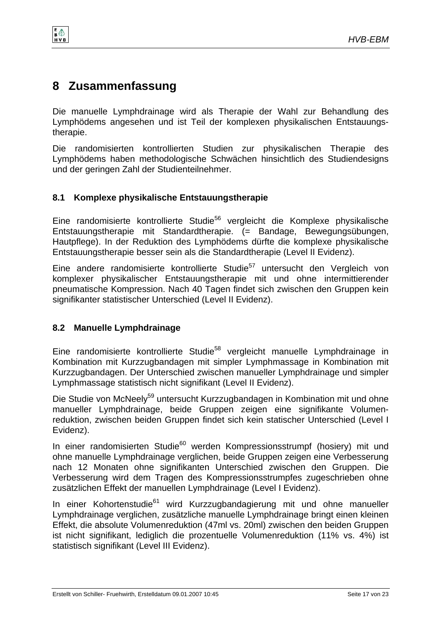*HVB-EBM* 

# **8 Zusammenfassung**

Die manuelle Lymphdrainage wird als Therapie der Wahl zur Behandlung des Lymphödems angesehen und ist Teil der komplexen physikalischen Entstauungstherapie.

Die randomisierten kontrollierten Studien zur physikalischen Therapie des Lymphödems haben methodologische Schwächen hinsichtlich des Studiendesigns und der geringen Zahl der Studienteilnehmer.

## **8.1 Komplexe physikalische Entstauungstherapie**

Eine randomisierte kontrollierte Studie<sup>56</sup> vergleicht die Komplexe physikalische Entstauungstherapie mit Standardtherapie. (= Bandage, Bewegungsübungen, Hautpflege). In der Reduktion des Lymphödems dürfte die komplexe physikalische Entstauungstherapie besser sein als die Standardtherapie (Level II Evidenz).

Eine andere randomisierte kontrollierte Studie<sup>57</sup> untersucht den Vergleich von komplexer physikalischer Entstauungstherapie mit und ohne intermittierender pneumatische Kompression. Nach 40 Tagen findet sich zwischen den Gruppen kein signifikanter statistischer Unterschied (Level II Evidenz).

## **8.2 Manuelle Lymphdrainage**

Eine randomisierte kontrollierte Studie<sup>58</sup> vergleicht manuelle Lymphdrainage in Kombination mit Kurzzugbandagen mit simpler Lymphmassage in Kombination mit Kurzzugbandagen. Der Unterschied zwischen manueller Lymphdrainage und simpler Lymphmassage statistisch nicht signifikant (Level II Evidenz).

Die Studie von McNeely<sup>59</sup> untersucht Kurzzugbandagen in Kombination mit und ohne manueller Lymphdrainage, beide Gruppen zeigen eine signifikante Volumenreduktion, zwischen beiden Gruppen findet sich kein statischer Unterschied (Level I Evidenz).

In einer randomisierten Studie<sup>60</sup> werden Kompressionsstrumpf (hosiery) mit und ohne manuelle Lymphdrainage verglichen, beide Gruppen zeigen eine Verbesserung nach 12 Monaten ohne signifikanten Unterschied zwischen den Gruppen. Die Verbesserung wird dem Tragen des Kompressionsstrumpfes zugeschrieben ohne zusätzlichen Effekt der manuellen Lymphdrainage (Level I Evidenz).

In einer Kohortenstudie<sup>61</sup> wird Kurzzugbandagierung mit und ohne manueller Lymphdrainage verglichen, zusätzliche manuelle Lymphdrainage bringt einen kleinen Effekt, die absolute Volumenreduktion (47ml vs. 20ml) zwischen den beiden Gruppen ist nicht signifikant, lediglich die prozentuelle Volumenreduktion (11% vs. 4%) ist statistisch signifikant (Level III Evidenz).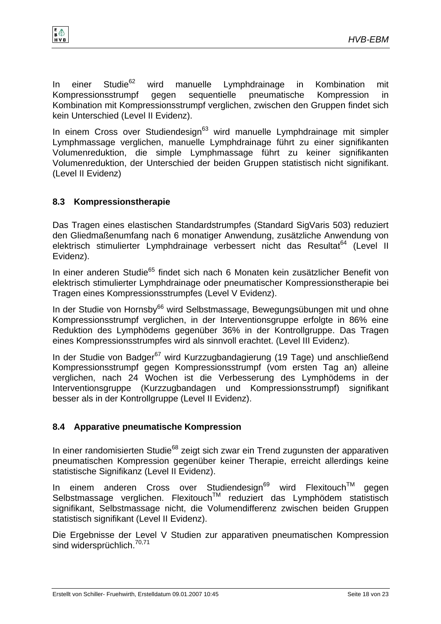



In einer Studie<sup>62</sup> wird manuelle Lymphdrainage in Kombination mit Kompressionsstrumpf gegen sequentielle pneumatische Kompression in Kombination mit Kompressionsstrumpf verglichen, zwischen den Gruppen findet sich kein Unterschied (Level II Evidenz).

In einem Cross over Studiendesign<sup>63</sup> wird manuelle Lymphdrainage mit simpler Lymphmassage verglichen, manuelle Lymphdrainage führt zu einer signifikanten Volumenreduktion, die simple Lymphmassage führt zu keiner signifikanten Volumenreduktion, der Unterschied der beiden Gruppen statistisch nicht signifikant. (Level II Evidenz)

### **8.3 Kompressionstherapie**

Das Tragen eines elastischen Standardstrumpfes (Standard SigVaris 503) reduziert den Gliedmaßenumfang nach 6 monatiger Anwendung, zusätzliche Anwendung von elektrisch stimulierter Lymphdrainage verbessert nicht das Resultat<sup>64</sup> (Level II Evidenz).

In einer anderen Studie<sup>65</sup> findet sich nach 6 Monaten kein zusätzlicher Benefit von elektrisch stimulierter Lymphdrainage oder pneumatischer Kompressionstherapie bei Tragen eines Kompressionsstrumpfes (Level V Evidenz).

In der Studie von Hornsby<sup>66</sup> wird Selbstmassage, Bewegungsübungen mit und ohne Kompressionsstrumpf verglichen, in der Interventionsgruppe erfolgte in 86% eine Reduktion des Lymphödems gegenüber 36% in der Kontrollgruppe. Das Tragen eines Kompressionsstrumpfes wird als sinnvoll erachtet. (Level III Evidenz).

In der Studie von Badger<sup>67</sup> wird Kurzzugbandagierung (19 Tage) und anschließend Kompressionsstrumpf gegen Kompressionsstrumpf (vom ersten Tag an) alleine verglichen, nach 24 Wochen ist die Verbesserung des Lymphödems in der Interventionsgruppe (Kurzzugbandagen und Kompressionsstrumpf) signifikant besser als in der Kontrollgruppe (Level II Evidenz).

#### **8.4 Apparative pneumatische Kompression**

In einer randomisierten Studie<sup>68</sup> zeigt sich zwar ein Trend zugunsten der apparativen pneumatischen Kompression gegenüber keiner Therapie, erreicht allerdings keine statistische Signifikanz (Level II Evidenz).

In einem anderen Cross over Studiendesign<sup>69</sup> wird Flexitouch™ gegen Selbstmassage verglichen. Flexitouch™ reduziert das Lymphödem statistisch signifikant, Selbstmassage nicht, die Volumendifferenz zwischen beiden Gruppen statistisch signifikant (Level II Evidenz).

Die Ergebnisse der Level V Studien zur apparativen pneumatischen Kompression sind widersprüchlich.<sup>70,71</sup>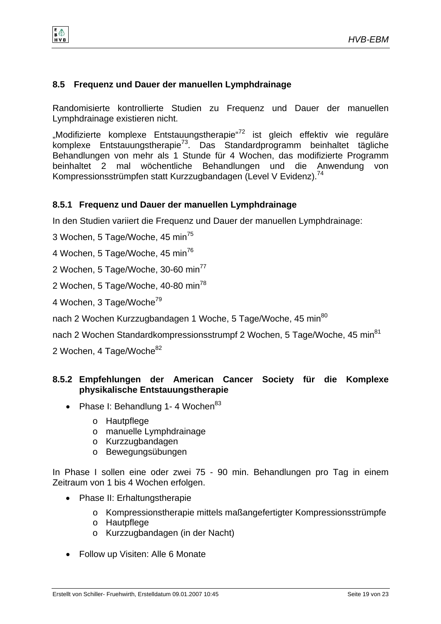## **8.5 Frequenz und Dauer der manuellen Lymphdrainage**

Randomisierte kontrollierte Studien zu Frequenz und Dauer der manuellen Lymphdrainage existieren nicht.

"Modifizierte komplexe Entstauungstherapie<sup>"72</sup> ist gleich effektiv wie reguläre komplexe Entstauungstherapie73. Das Standardprogramm beinhaltet tägliche Behandlungen von mehr als 1 Stunde für 4 Wochen, das modifizierte Programm beinhaltet 2 mal wöchentliche Behandlungen und die Anwendung von Kompressionsstrümpfen statt Kurzzugbandagen (Level V Evidenz).<sup>74</sup>

## **8.5.1 Frequenz und Dauer der manuellen Lymphdrainage**

In den Studien variiert die Frequenz und Dauer der manuellen Lymphdrainage:

3 Wochen, 5 Tage/Woche, 45 min<sup>75</sup>

4 Wochen, 5 Tage/Woche, 45 min<sup>76</sup>

2 Wochen, 5 Tage/Woche, 30-60 min<sup>77</sup>

2 Wochen, 5 Tage/Woche, 40-80 min<sup>78</sup>

4 Wochen, 3 Tage/Woche79

e 4

nach 2 Wochen Kurzzugbandagen 1 Woche, 5 Tage/Woche, 45 min<sup>80</sup>

nach 2 Wochen Standardkompressionsstrumpf 2 Wochen, 5 Tage/Woche, 45 min<sup>81</sup>

2 Wochen, 4 Tage/Woche<sup>82</sup>

### **8.5.2 Empfehlungen der American Cancer Society für die Komplexe physikalische Entstauungstherapie**

- Phase I: Behandlung 1-4 Wochen $83$ 
	- o Hautpflege
	- o manuelle Lymphdrainage
	- o Kurzzugbandagen
	- o Bewegungsübungen

In Phase I sollen eine oder zwei 75 - 90 min. Behandlungen pro Tag in einem Zeitraum von 1 bis 4 Wochen erfolgen.

- Phase II: Erhaltungstherapie
	- o Kompressionstherapie mittels maßangefertigter Kompressionsstrümpfe
	- o Hautpflege
	- o Kurzzugbandagen (in der Nacht)
- Follow up Visiten: Alle 6 Monate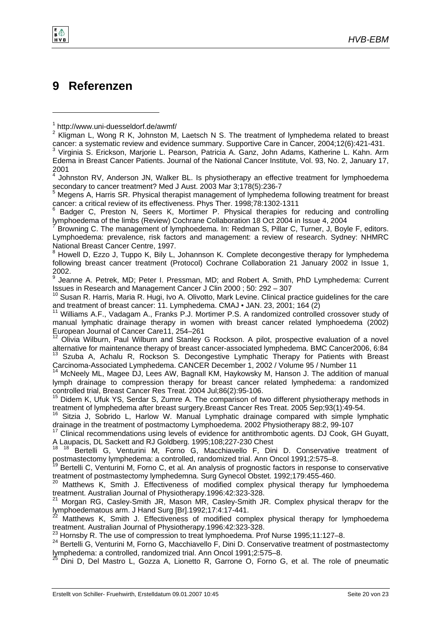# **9 Referenzen**

2001

l

e +

4 Johnston RV, Anderson JN, Walker BL. Is physiotherapy an effective treatment for lymphoedema

secondary to cancer treatment? Med J Aust. 2003 Mar 3;178(5):236-7<br><sup>5</sup> Megens A, Harris SR. Physical therapist management of lymphedema following treatment for breast cancer: a critical review of its effectiveness. Phys Ther. 1998;78:1302-1311

 Badger C, Preston N, Seers K, Mortimer P. Physical therapies for reducing and controlling lymphoedema of the limbs (Review) Cochrane Collaboration 18 Oct 2004 in Issue 4, 2004 7

 Browning C. The management of lymphoedema. In: Redman S, Pillar C, Turner, J, Boyle F, editors. Lymphoedema: prevalence, risk factors and management: a review of research. Sydney: NHMRC National Breast Cancer Centre, 1997.

<sup>8</sup> Howell D, Ezzo J, Tuppo K, Bily L, Johannson K. Complete decongestive therapy for lymphedema following breast cancer treatment (Protocol) Cochrane Collaboration 21 January 2002 in Issue 1, 2002.

9 Jeanne A. Petrek, MD; Peter I. Pressman, MD; and Robert A. Smith, PhD Lymphedema: Current Issues in Research and Management Cancer J Clin 2000 ; 50: 292 – 307

<sup>10</sup> Susan R. Harris, Maria R. Hugi, Ivo A. Olivotto, Mark Levine. Clinical practice guidelines for the care and treatment of breast cancer: 11. Lymphedema. CMAJ • JAN. 23, 2001; 164 (2)

<sup>11</sup> Williams A.F., Vadagam A., Franks P.J. Mortimer P.S. A randomized controlled crossover study of manual lymphatic drainage therapy in women with breast cancer related lymphoedema (2002) European Journal of Cancer Care11, 254–261

12 Olivia Wilburn, Paul Wilburn and Stanley G Rockson. A pilot, prospective evaluation of a novel alternative for maintenance therapy of breast cancer-associated lymphedema. BMC Cancer2006, 6:84 <sup>13</sup> Szuba A, Achalu R, Rockson S. Decongestive Lymphatic Therapy for Patients with Breast Carcinoma-Associated Lymphedema. CANCER December 1, 2002 / Volume 95 / Number 11

<sup>14</sup> McNeely ML, Magee DJ, Lees AW, Bagnall KM, Haykowsky M, Hanson J. The addition of manual lymph drainage to compression therapy for breast cancer related lymphedema: a randomized controlled trial, Breast Cancer Res Treat. 2004 Jul;86(2):95-106.

<sup>15</sup> Didem K, Ufuk YS, Serdar S, Zumre A. The comparison of two different physiotherapy methods in treatment of lymphedema after breast surgery.Breast Cancer Res Treat. 2005 Sep;93(1):49-54.<br><sup>16</sup> Sitzia J, Sobrido L, Harlow W. Manual Lymphatic drainage compared with simple lymphatic

drainage in the treatment of postmactomy Lymphoedema. 2002 Physiotherapy 88:2, 99-107

<sup>17</sup> Clinical recommendations using levels of evidence for antithrombotic agents. DJ Cook, GH Guyatt, A Laupacis, DL Sackett and RJ Goldberg. 1995;108;227-230 Chest

<sup>18 18</sup> Bertelli G, Venturini M, Forno G, Macchiavello F, Dini D. Conservative treatment of postmastectomy lymphedema: a controlled, randomized trial. Ann Oncol 1991;2:575–8.

Bertelli C, Venturini M, Forno C, et al. An analysis of prognostic factors in response to conservative treatment of postmastectomy lymphedemna. Surg Gynecol Obstet. 1992;179:455-460.

<sup>20</sup> Matthews K, Smith J. Effectiveness of modified complex physical therapy fur lymphoedema treatment. Australian Journal of Physiotherapy.1996:42:323-328.<br><sup>21</sup> Morgan RG, Casley-Smith JR, Mason MR, Casley-Smith JR. Complex physical therapy for the

lymphoedematous arm. J Hand Surg [Br].1992;17:4:17-441.

 $^{22}$  Matthews K, Smith J. Effectiveness of modified complex physical therapy for lymphoedema treatment. Australian Journal of Physiotherapy. 1996:42:323-328.

<sup>23</sup> Hornsby R. The use of compression to treat lymphoedema. Prof Nurse 1995;11:127-8.<br><sup>24</sup> Bertelli G, Venturini M, Forno G, Macchiavello F, Dini D. Conservative treatment of postmastectomy lymphedema: a controlled, randomized trial. Ann Oncol 1991;2:575–8.

25 Dini D, Del Mastro L, Gozza A, Lionetto R, Garrone O, Forno G, et al. The role of pneumatic

<sup>1</sup> http://www.uni-duesseldorf.de/awmf/

<sup>&</sup>lt;sup>2</sup> Kligman L, Wong R K, Johnston M, Laetsch N S. The treatment of lymphedema related to breast cancer: a systematic review and evidence summary. Supportive Care in Cancer, 2004;12(6):421-431. 3 Virginia S. Erickson, Marjorie L. Pearson, Patricia A. Ganz, John Adams, Katherine L. Kahn. Arm Edema in Breast Cancer Patients. Journal of the National Cancer Institute, Vol. 93, No. 2, January 17,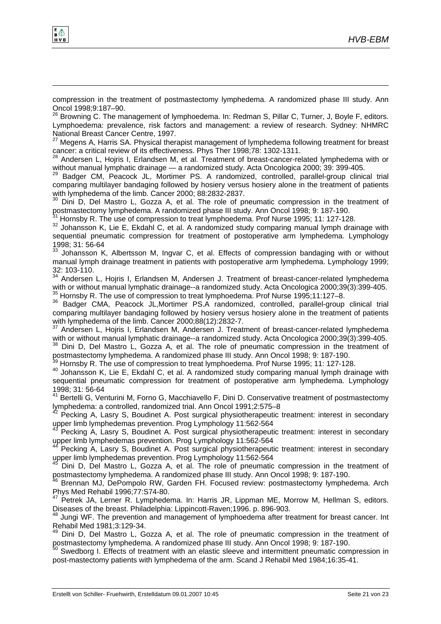

l

compression in the treatment of postmastectomy lymphedema. A randomized phase III study. Ann Oncol 1998;9:187–90.

 $26$  Browning C. The management of lymphoedema. In: Redman S, Pillar C, Turner, J, Boyle F, editors. Lymphoedema: prevalence, risk factors and management: a review of research. Sydney: NHMRC National Breast Cancer Centre, 1997.

 $27$  Megens A, Harris SA. Physical therapist management of lymphedema following treatment for breast cancer: a critical review of its effectiveness. Phys Ther 1998;78: 1302-1311.

<sup>28</sup> Andersen L, Hojris I, Erlandsen M, et al. Treatment of breast-cancer-related lymphedema with or without manual lymphatic drainage — a randomized study. Acta Oncologica 2000; 39: 399-405.<br><sup>29</sup> Badger CM, Peacock JL, Mortimer PS. A randomized, controlled, parallel-group clinical trial

comparing multilayer bandaging followed by hosiery versus hosiery alone in the treatment of patients with lymphedema of the limb. Cancer 2000; 88:2832-2837.

Dini D, Del Mastro L, Gozza A, et al. The role of pneumatic compression in the treatment of postmastectomy lymphedema. A randomized phase III study. Ann Oncol 1998; 9: 187-190.<br><sup>31</sup> Hornsby R. The use of compression to treat lymphoedema. Prof Nurse 1995; 11: 127-128.

110111309 R. The use of compression to treat lymphoedema. Profession to the Internet 2005; 11: 127-128. 32 Johansson K, Lie E, Ekdahl C, et al. A randomized study comparing manual lymph drainage with sequential pneumatic compression for treatment of postoperative arm lymphedema. Lymphology 1998; 31: 56-64

Johansson K, Albertsson M, Ingvar C, et al. Effects of compression bandaging with or without manual lymph drainage treatment in patients with postoperative arm lymphedema. Lymphology 1999; 32: 103-110.

<sup>34</sup> Andersen L, Hojris I, Erlandsen M, Andersen J. Treatment of breast-cancer-related lymphedema with or without manual lymphatic drainage--a randomized study. Acta Oncologica 2000;39(3):399-405.<br><sup>35</sup> Hornsby R. The use of compression to treat lymphoedema. Prof Nurse 1995;11:127–8.<br><sup>36</sup> Badger CMA, Peacock JL,Mortimer

comparing multilayer bandaging followed by hosiery versus hosiery alone in the treatment of patients with lymphedema of the limb. Cancer 2000;88(12):2832-7.

<sup>37</sup> Andersen L, Hojris I, Erlandsen M, Andersen J. Treatment of breast-cancer-related lymphedema with or without manual lymphatic drainage--a randomized study. Acta Oncologica 2000;39(3):399-405.<br><sup>38</sup> Dini D, Del Mastro L, Gozza A, et al. The role of pneumatic compression in the treatment of

postmastectomy lymphedema. A randomized phase III study. Ann Oncol 1998; 9: 187-190.

<sup>39</sup> Hornsby R. The use of compression to treat lymphoedema. Prof Nurse 1995; 11: 127-128.<br><sup>40</sup> Johansson K, Lie E, Ekdahl C, et al. A randomized study comparing manual lymph drainage with sequential pneumatic compression for treatment of postoperative arm lymphedema. Lymphology 1998; 31: 56-64

<sup>41</sup> Bertelli G, Venturini M, Forno G, Macchiavello F, Dini D. Conservative treatment of postmastectomy lymphedema: a controlled, randomized trial. Ann Oncol 1991;2:575–8

 $42$  Pecking A, Lasry S, Boudinet A. Post surgical physiotherapeutic treatment: interest in secondary upper limb lymphedemas prevention. Prog Lymphology 11:562-564

Pecking A, Lasry S, Boudinet A. Post surgical physiotherapeutic treatment: interest in secondary upper limb lymphedemas prevention. Prog Lymphology 11:562-564<br><sup>44</sup> Pecking A, Lasry S, Boudinet A. Post surgical physiotherapeutic treatment: interest in secondary

upper limb lymphedemas prevention. Prog Lymphology 11:562-564<br><sup>45</sup> Dini D, Del Mastro L, Gozza A, et al. The role of pneumatic compression in the treatment of

postmastectomy lymphedema. A randomized phase III study. Ann Oncol 1998; 9: 187-190.

<sup>46</sup> Brennan MJ, DePompolo RW, Garden FH. Focused review: postmastectomy lymphedema. Arch Phys Med Rehabil 1996;77:S74-80.

Petrek JA, Lerner R. Lymphedema. In: Harris JR, Lippman ME, Morrow M, Hellman S, editors. Diseases of the breast. Philadelphia: Lippincott-Raven;1996. p. 896-903.

<sup>48</sup> Jungi WF. The prevention and management of lymphoedema after treatment for breast cancer. Int Rehabil Med 1981;3:129-34.

<sup>49</sup> Dini D, Del Mastro L, Gozza A, et al. The role of pneumatic compression in the treatment of postmastectomy lymphedema. A randomized phase III study. Ann Oncol 1998; 9: 187-190.

Swedborg I. Effects of treatment with an elastic sleeve and intermittent pneumatic compression in post-mastectomy patients with lymphedema of the arm. Scand J Rehabil Med 1984;16:35-41.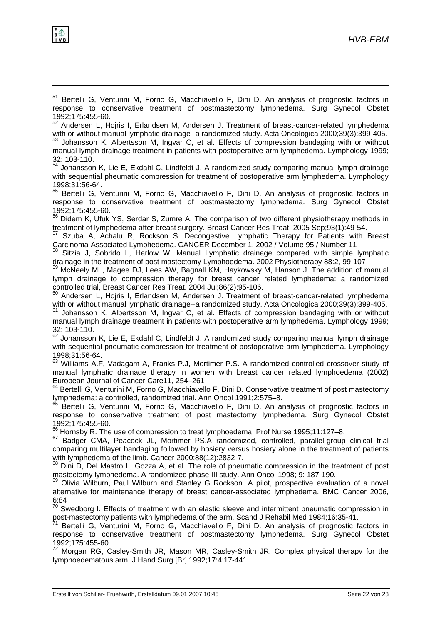l

<sup>51</sup> Bertelli G, Venturini M, Forno G, Macchiavello F, Dini D. An analysis of prognostic factors in response to conservative treatment of postmastectomy lymphedema. Surg Gynecol Obstet 1992;175:455-60.

 $52$  Andersen L, Hojris I, Erlandsen M, Andersen J. Treatment of breast-cancer-related lymphedema<br>with or without manual lymphatic drainage--a randomized study. Acta Oncologica 2000;39(3):399-405.

Johansson K, Albertsson M, Ingvar C, et al. Effects of compression bandaging with or without manual lymph drainage treatment in patients with postoperative arm lymphedema. Lymphology 1999; 32: 103-110.

<sup>54</sup> Johansson K, Lie E, Ekdahl C, Lindfeldt J. A randomized study comparing manual lymph drainage with sequential pheumatic compression for treatment of postoperative arm lymphedema. Lymphology 1998;31:56-64.

<sup>55</sup> Bertelli G, Venturini M, Forno G, Macchiavello F, Dini D. An analysis of prognostic factors in response to conservative treatment of postmastectomy lymphedema. Surg Gynecol Obstet 1992;175:455-60.

56 Didem K, Ufuk YS, Serdar S, Zumre A. The comparison of two different physiotherapy methods in treatment of lymphedema after breast surgery. Breast Cancer Res Treat. 2005 Sep;93(1):49-54.

 $57$  Szuba A, Achalu R, Rockson S. Decongestive Lymphatic Therapy for Patients with Breast Carcinoma-Associated Lymphedema. CANCER December 1, 2002 / Volume 95 / Number 11

<sup>58</sup> Sitzia J, Sobrido L, Harlow W. Manual Lymphatic drainage compared with simple lymphatic drainage in the treatment of post mastectomy Lymphoedema. 2002 Physiotherapy 88:2, 99-107<br><sup>59</sup> McNeely ML, Magee DJ, Lees AW, Bagnall KM, Haykowsky M, Hanson J. The addition of manual

lymph drainage to compression therapy for breast cancer related lymphedema: a randomized controlled trial, Breast Cancer Res Treat. 2004 Jul;86(2):95-106.

 $60$  Andersen L, Hojris I, Erlandsen M, Andersen J. Treatment of breast-cancer-related lymphedema with or without manual lymphatic drainage--a randomized study. Acta Oncologica 2000;39(3):399-405.

with or without manual lymphatic drainage-entries study. Acta Oncological Study. Acta Oncological 2000;39(3):39 manual lymph drainage treatment in patients with postoperative arm lymphedema. Lymphology 1999; 32: 103-110.

<sup>62</sup> Johansson K, Lie E, Ekdahl C, Lindfeldt J. A randomized study comparing manual lymph drainage with sequential pneumatic compression for treatment of postoperative arm lymphedema. Lymphology 1998;31:56-64.

<sup>63</sup> Williams A.F, Vadagam A, Franks P.J, Mortimer P.S. A randomized controlled crossover study of manual lymphatic drainage therapy in women with breast cancer related lymphoedema (2002) European Journal of Cancer Care11, 254–261

<sup>64</sup> Bertelli G, Venturini M, Forno G, Macchiavello F, Dini D. Conservative treatment of post mastectomy lymphedema: a controlled, randomized trial. Ann Oncol 1991;2:575–8.

<sup>5</sup> Bertelli G, Venturini M, Forno G, Macchiavello F, Dini D. An analysis of prognostic factors in response to conservative treatment of post mastectomy lymphedema. Surg Gynecol Obstet

1992;175:455-60.<br><sup>66</sup> Hornsby R. The use of compression to treat lymphoedema. Prof Nurse 1995;11:127–8.

67 Badger CMA, Peacock JL, Mortimer PS.A randomized, controlled, parallel-group clinical trial comparing multilayer bandaging followed by hosiery versus hosiery alone in the treatment of patients with lymphedema of the limb. Cancer 2000;88(12):2832-7.

 $68$  Dini D, Del Mastro L, Gozza A, et al. The role of pneumatic compression in the treatment of post mastectomy lymphedema. A randomized phase III study. Ann Oncol 1998; 9: 187-190.

<sup>69</sup> Olivia Wilburn, Paul Wilburn and Stanley G Rockson. A pilot, prospective evaluation of a novel alternative for maintenance therapy of breast cancer-associated lymphedema. BMC Cancer 2006, 6:84

 $70$  Swedborg I. Effects of treatment with an elastic sleeve and intermittent pneumatic compression in post-mastectomy patients with lymphedema of the arm. Scand J Rehabil Med 1984;16:35-41.

Bertelli G, Venturini M, Forno G, Macchiavello F, Dini D. An analysis of prognostic factors in response to conservative treatment of postmastectomy lymphedema. Surg Gynecol Obstet 1992;175:455-60.

72 Morgan RG, Casley-Smith JR, Mason MR, Casley-Smith JR. Complex physical therapv for the lymphoedematous arm. J Hand Surg [Br].1992;17:4:17-441.